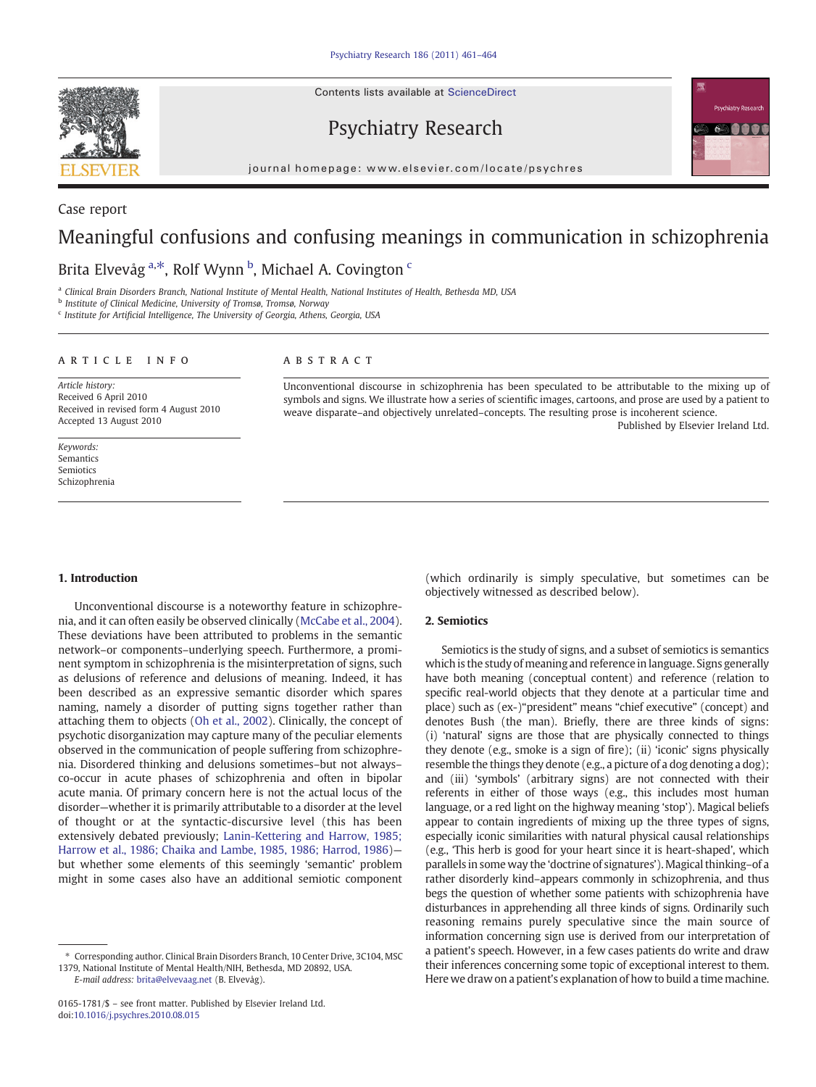Contents lists available at ScienceDirect



Case report

Psychiatry Research



journal homepage: www.elsevier.com/locate/psychres

# Meaningful confusions and confusing meanings in communication in schizophrenia

# Brita Elvevåg <sup>a,\*</sup>, Rolf Wynn <sup>b</sup>, Michael A. Covington <sup>c</sup>

<sup>a</sup> Clinical Brain Disorders Branch, National Institute of Mental Health, National Institutes of Health, Bethesda MD, USA

<sup>b</sup> Institute of Clinical Medicine, University of Tromsø, Tromsø, Norway

<sup>c</sup> Institute for Artificial Intelligence, The University of Georgia, Athens, Georgia, USA

# article info abstract

Article history: Received 6 April 2010 Received in revised form 4 August 2010 Accepted 13 August 2010

Keywords: Semantics Semiotics Schizophrenia Unconventional discourse in schizophrenia has been speculated to be attributable to the mixing up of symbols and signs. We illustrate how a series of scientific images, cartoons, and prose are used by a patient to weave disparate–and objectively unrelated–concepts. The resulting prose is incoherent science. Published by Elsevier Ireland Ltd.

#### 1. Introduction

Unconventional discourse is a noteworthy feature in schizophrenia, and it can often easily be observed clinically [\(McCabe et al., 2004](#page-3-0)). These deviations have been attributed to problems in the semantic network–or components–underlying speech. Furthermore, a prominent symptom in schizophrenia is the misinterpretation of signs, such as delusions of reference and delusions of meaning. Indeed, it has been described as an expressive semantic disorder which spares naming, namely a disorder of putting signs together rather than attaching them to objects [\(Oh et al., 2002\)](#page-3-0). Clinically, the concept of psychotic disorganization may capture many of the peculiar elements observed in the communication of people suffering from schizophrenia. Disordered thinking and delusions sometimes–but not always– co-occur in acute phases of schizophrenia and often in bipolar acute mania. Of primary concern here is not the actual locus of the disorder—whether it is primarily attributable to a disorder at the level of thought or at the syntactic-discursive level (this has been extensively debated previously; [Lanin-Kettering and Harrow, 1985;](#page-3-0) [Harrow et al., 1986; Chaika and Lambe, 1985, 1986; Harrod, 1986\)](#page-3-0) but whether some elements of this seemingly 'semantic' problem might in some cases also have an additional semiotic component

E-mail address: [brita@elvevaag.net](mailto:brita@elvevaag.net) (B. Elvevåg).

(which ordinarily is simply speculative, but sometimes can be objectively witnessed as described below).

## 2. Semiotics

Semiotics is the study of signs, and a subset of semiotics is semantics which is the study of meaning and reference in language. Signs generally have both meaning (conceptual content) and reference (relation to specific real-world objects that they denote at a particular time and place) such as (ex-)"president" means "chief executive" (concept) and denotes Bush (the man). Briefly, there are three kinds of signs: (i) 'natural' signs are those that are physically connected to things they denote (e.g., smoke is a sign of fire); (ii) 'iconic' signs physically resemble the things they denote (e.g., a picture of a dog denoting a dog); and (iii) 'symbols' (arbitrary signs) are not connected with their referents in either of those ways (e.g., this includes most human language, or a red light on the highway meaning 'stop'). Magical beliefs appear to contain ingredients of mixing up the three types of signs, especially iconic similarities with natural physical causal relationships (e.g., 'This herb is good for your heart since it is heart-shaped', which parallels in some way the 'doctrine of signatures'). Magical thinking–of a rather disorderly kind–appears commonly in schizophrenia, and thus begs the question of whether some patients with schizophrenia have disturbances in apprehending all three kinds of signs. Ordinarily such reasoning remains purely speculative since the main source of information concerning sign use is derived from our interpretation of a patient's speech. However, in a few cases patients do write and draw their inferences concerning some topic of exceptional interest to them. Here we draw on a patient's explanation of how to build a time machine.

<sup>⁎</sup> Corresponding author. Clinical Brain Disorders Branch, 10 Center Drive, 3C104, MSC 1379, National Institute of Mental Health/NIH, Bethesda, MD 20892, USA.

<sup>0165-1781/\$</sup> – see front matter. Published by Elsevier Ireland Ltd. doi:[10.1016/j.psychres.2010.08.015](http://dx.doi.org/10.1016/j.psychres.2010.08.015)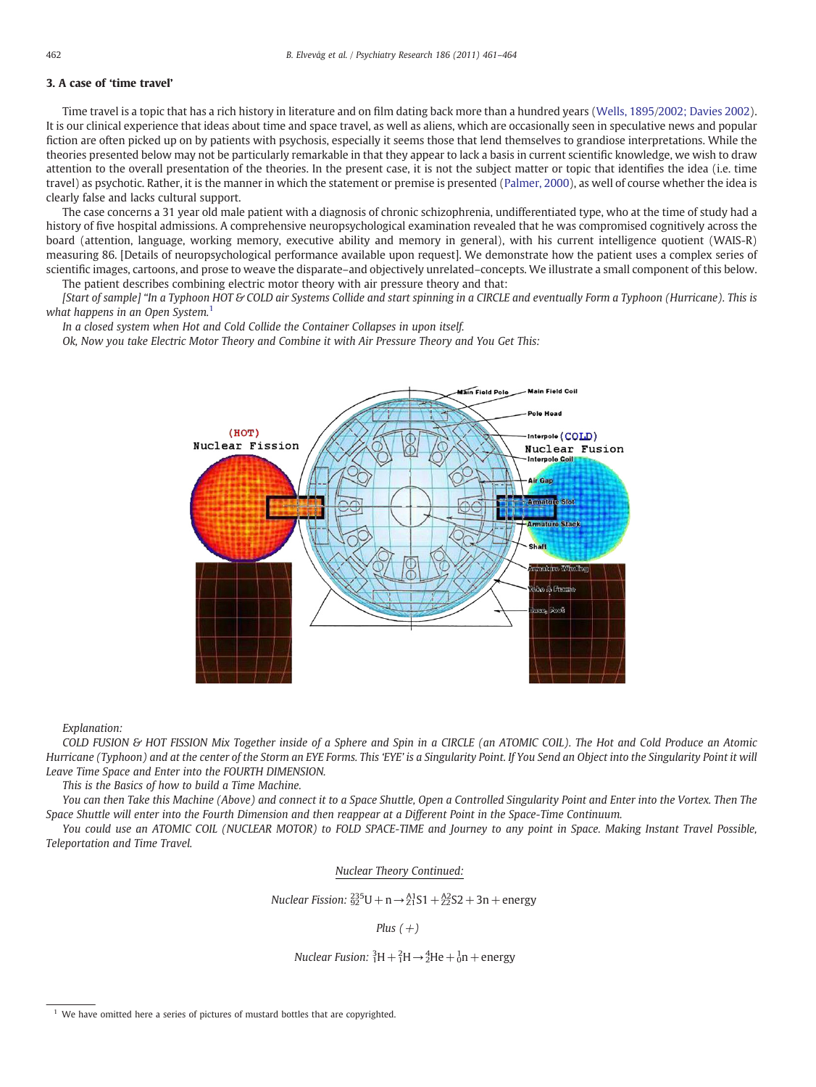# 3. A case of 'time travel'

Time travel is a topic that has a rich history in literature and on film dating back more than a hundred years [\(Wells, 1895/2002; Davies 2002](#page-3-0)). It is our clinical experience that ideas about time and space travel, as well as aliens, which are occasionally seen in speculative news and popular fiction are often picked up on by patients with psychosis, especially it seems those that lend themselves to grandiose interpretations. While the theories presented below may not be particularly remarkable in that they appear to lack a basis in current scientific knowledge, we wish to draw attention to the overall presentation of the theories. In the present case, it is not the subject matter or topic that identifies the idea (i.e. time travel) as psychotic. Rather, it is the manner in which the statement or premise is presented [\(Palmer, 2000\)](#page-3-0), as well of course whether the idea is clearly false and lacks cultural support.

The case concerns a 31 year old male patient with a diagnosis of chronic schizophrenia, undifferentiated type, who at the time of study had a history of five hospital admissions. A comprehensive neuropsychological examination revealed that he was compromised cognitively across the board (attention, language, working memory, executive ability and memory in general), with his current intelligence quotient (WAIS-R) measuring 86. [Details of neuropsychological performance available upon request]. We demonstrate how the patient uses a complex series of scientific images, cartoons, and prose to weave the disparate–and objectively unrelated–concepts. We illustrate a small component of this below. The patient describes combining electric motor theory with air pressure theory and that:

[Start of sample] "In a Typhoon HOT & COLD air Systems Collide and start spinning in a CIRCLE and eventually Form a Typhoon (Hurricane). This is what happens in an Open System.<sup>1</sup>

In a closed system when Hot and Cold Collide the Container Collapses in upon itself.

Ok, Now you take Electric Motor Theory and Combine it with Air Pressure Theory and You Get This:



Explanation:

COLD FUSION & HOT FISSION Mix Together inside of a Sphere and Spin in a CIRCLE (an ATOMIC COIL). The Hot and Cold Produce an Atomic Hurricane (Typhoon) and at the center of the Storm an EYE Forms. This 'EYE' is a Singularity Point. If You Send an Object into the Singularity Point it will Leave Time Space and Enter into the FOURTH DIMENSION.

This is the Basics of how to build a Time Machine.

You can then Take this Machine (Above) and connect it to a Space Shuttle, Open a Controlled Singularity Point and Enter into the Vortex. Then The Space Shuttle will enter into the Fourth Dimension and then reappear at a Different Point in the Space-Time Continuum.

You could use an ATOMIC COIL (NUCLEAR MOTOR) to FOLD SPACE-TIME and Journey to any point in Space. Making Instant Travel Possible, Teleportation and Time Travel.

# Nuclear Theory Continued:

Nuclear Fission:  $\frac{235}{92}$ U + n →  $\frac{A1}{21}$ S1 +  $\frac{A2}{22}$ S2 + 3n + energy

Plus  $(+)$ 

Nuclear Fusion:  ${}^{3}_{1}H + {}^{2}_{1}H \rightarrow {}^{4}_{2}He + {}^{1}_{0}n +$  energy

 $1$  We have omitted here a series of pictures of mustard bottles that are copyrighted.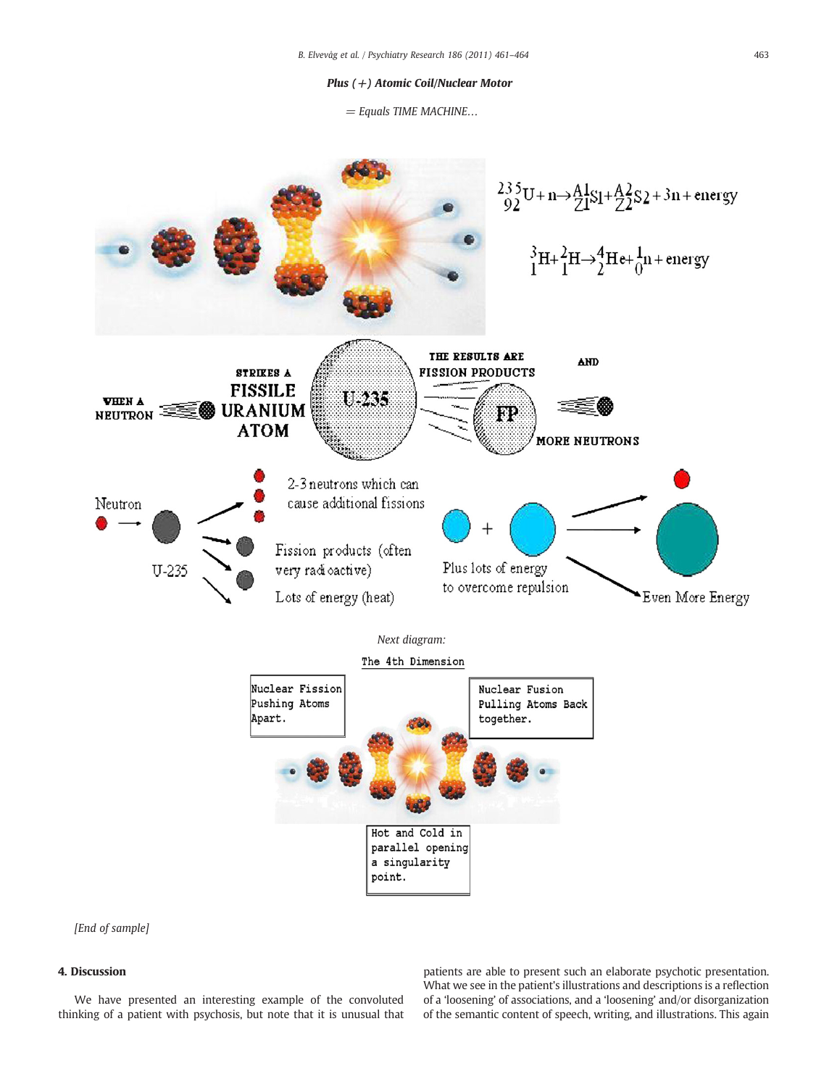## Plus (+) Atomic Coil/Nuclear Motor

 $=$  Equals TIME MACHINE...



[End of sample]

# 4. Discussion

We have presented an interesting example of the convoluted thinking of a patient with psychosis, but note that it is unusual that

patients are able to present such an elaborate psychotic presentation. What we see in the patient's illustrations and descriptions is a reflection of a 'loosening' of associations, and a 'loosening' and/or disorganization of the semantic content of speech, writing, and illustrations. This again